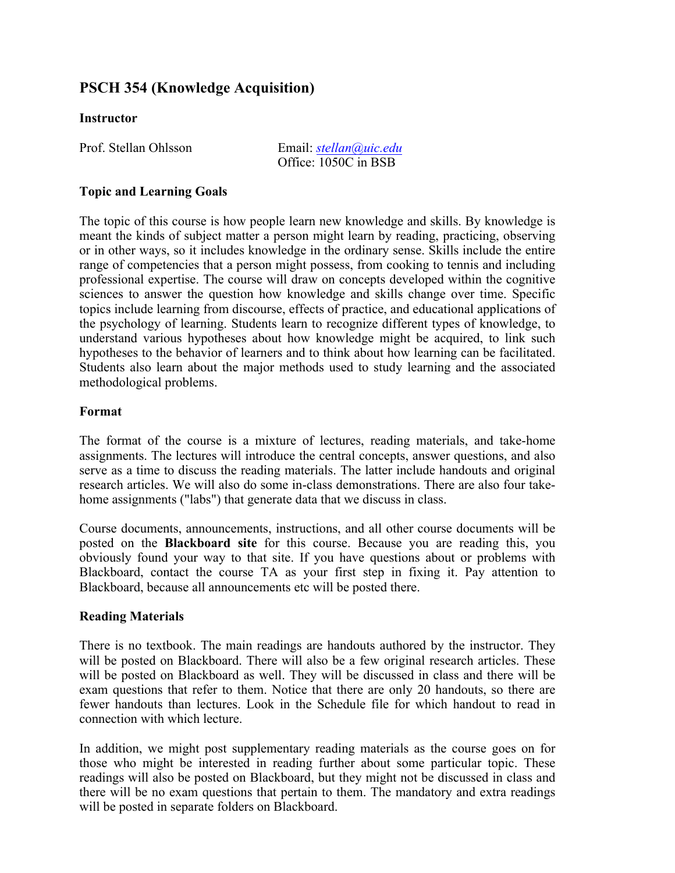# **PSCH 354 (Knowledge Acquisition)**

## **Instructor**

Prof. Stellan Ohlsson Email: *stellan@uic.edu* Office: 1050C in BSB

## **Topic and Learning Goals**

The topic of this course is how people learn new knowledge and skills. By knowledge is meant the kinds of subject matter a person might learn by reading, practicing, observing or in other ways, so it includes knowledge in the ordinary sense. Skills include the entire range of competencies that a person might possess, from cooking to tennis and including professional expertise. The course will draw on concepts developed within the cognitive sciences to answer the question how knowledge and skills change over time. Specific topics include learning from discourse, effects of practice, and educational applications of the psychology of learning. Students learn to recognize different types of knowledge, to understand various hypotheses about how knowledge might be acquired, to link such hypotheses to the behavior of learners and to think about how learning can be facilitated. Students also learn about the major methods used to study learning and the associated methodological problems.

### **Format**

The format of the course is a mixture of lectures, reading materials, and take-home assignments. The lectures will introduce the central concepts, answer questions, and also serve as a time to discuss the reading materials. The latter include handouts and original research articles. We will also do some in-class demonstrations. There are also four takehome assignments ("labs") that generate data that we discuss in class.

Course documents, announcements, instructions, and all other course documents will be posted on the **Blackboard site** for this course. Because you are reading this, you obviously found your way to that site. If you have questions about or problems with Blackboard, contact the course TA as your first step in fixing it. Pay attention to Blackboard, because all announcements etc will be posted there.

### **Reading Materials**

There is no textbook. The main readings are handouts authored by the instructor. They will be posted on Blackboard. There will also be a few original research articles. These will be posted on Blackboard as well. They will be discussed in class and there will be exam questions that refer to them. Notice that there are only 20 handouts, so there are fewer handouts than lectures. Look in the Schedule file for which handout to read in connection with which lecture.

In addition, we might post supplementary reading materials as the course goes on for those who might be interested in reading further about some particular topic. These readings will also be posted on Blackboard, but they might not be discussed in class and there will be no exam questions that pertain to them. The mandatory and extra readings will be posted in separate folders on Blackboard.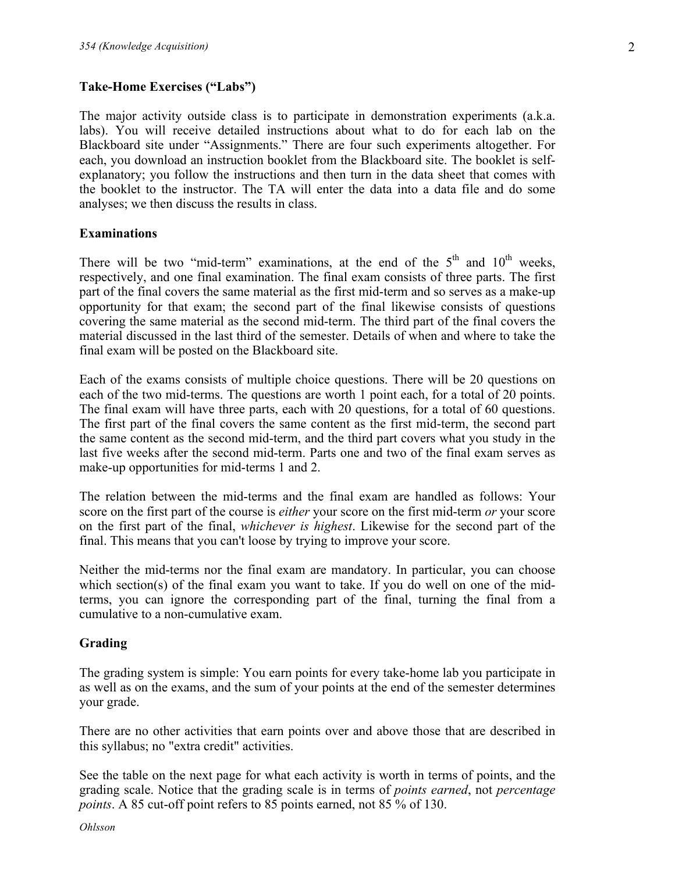### **Take-Home Exercises ("Labs")**

The major activity outside class is to participate in demonstration experiments (a.k.a. labs). You will receive detailed instructions about what to do for each lab on the Blackboard site under "Assignments." There are four such experiments altogether. For each, you download an instruction booklet from the Blackboard site. The booklet is selfexplanatory; you follow the instructions and then turn in the data sheet that comes with the booklet to the instructor. The TA will enter the data into a data file and do some analyses; we then discuss the results in class.

#### **Examinations**

There will be two "mid-term" examinations, at the end of the  $5<sup>th</sup>$  and  $10<sup>th</sup>$  weeks, respectively, and one final examination. The final exam consists of three parts. The first part of the final covers the same material as the first mid-term and so serves as a make-up opportunity for that exam; the second part of the final likewise consists of questions covering the same material as the second mid-term. The third part of the final covers the material discussed in the last third of the semester. Details of when and where to take the final exam will be posted on the Blackboard site.

Each of the exams consists of multiple choice questions. There will be 20 questions on each of the two mid-terms. The questions are worth 1 point each, for a total of 20 points. The final exam will have three parts, each with 20 questions, for a total of 60 questions. The first part of the final covers the same content as the first mid-term, the second part the same content as the second mid-term, and the third part covers what you study in the last five weeks after the second mid-term. Parts one and two of the final exam serves as make-up opportunities for mid-terms 1 and 2.

The relation between the mid-terms and the final exam are handled as follows: Your score on the first part of the course is *either* your score on the first mid-term *or* your score on the first part of the final, *whichever is highest*. Likewise for the second part of the final. This means that you can't loose by trying to improve your score.

Neither the mid-terms nor the final exam are mandatory. In particular, you can choose which section(s) of the final exam you want to take. If you do well on one of the midterms, you can ignore the corresponding part of the final, turning the final from a cumulative to a non-cumulative exam.

### **Grading**

The grading system is simple: You earn points for every take-home lab you participate in as well as on the exams, and the sum of your points at the end of the semester determines your grade.

There are no other activities that earn points over and above those that are described in this syllabus; no "extra credit" activities.

See the table on the next page for what each activity is worth in terms of points, and the grading scale. Notice that the grading scale is in terms of *points earned*, not *percentage points*. A 85 cut-off point refers to 85 points earned, not 85 % of 130.